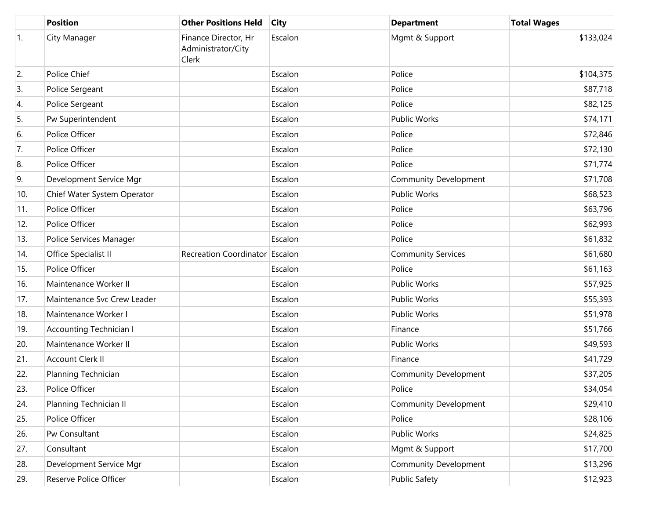|     | <b>Position</b>                | <b>Other Positions Held</b>                         | <b>City</b> | <b>Department</b>            | <b>Total Wages</b> |
|-----|--------------------------------|-----------------------------------------------------|-------------|------------------------------|--------------------|
| 1.  | City Manager                   | Finance Director, Hr<br>Administrator/City<br>Clerk | Escalon     | Mgmt & Support               | \$133,024          |
| 2.  | Police Chief                   |                                                     | Escalon     | Police                       | \$104,375          |
| 3.  | Police Sergeant                |                                                     | Escalon     | Police                       | \$87,718           |
| 4.  | Police Sergeant                |                                                     | Escalon     | Police                       | \$82,125           |
| 5.  | Pw Superintendent              |                                                     | Escalon     | <b>Public Works</b>          | \$74,171           |
| 6.  | Police Officer                 |                                                     | Escalon     | Police                       | \$72,846           |
| 7.  | Police Officer                 |                                                     | Escalon     | Police                       | \$72,130           |
| 8.  | Police Officer                 |                                                     | Escalon     | Police                       | \$71,774           |
| 9.  | Development Service Mgr        |                                                     | Escalon     | <b>Community Development</b> | \$71,708           |
| 10. | Chief Water System Operator    |                                                     | Escalon     | <b>Public Works</b>          | \$68,523           |
| 11. | Police Officer                 |                                                     | Escalon     | Police                       | \$63,796           |
| 12. | Police Officer                 |                                                     | Escalon     | Police                       | \$62,993           |
| 13. | Police Services Manager        |                                                     | Escalon     | Police                       | \$61,832           |
| 14. | Office Specialist II           | Recreation Coordinator Escalon                      |             | Community Services           | \$61,680           |
| 15. | Police Officer                 |                                                     | Escalon     | Police                       | \$61,163           |
| 16. | Maintenance Worker II          |                                                     | Escalon     | <b>Public Works</b>          | \$57,925           |
| 17. | Maintenance Svc Crew Leader    |                                                     | Escalon     | <b>Public Works</b>          | \$55,393           |
| 18. | Maintenance Worker I           |                                                     | Escalon     | <b>Public Works</b>          | \$51,978           |
| 19. | <b>Accounting Technician I</b> |                                                     | Escalon     | Finance                      | \$51,766           |
| 20. | Maintenance Worker II          |                                                     | Escalon     | <b>Public Works</b>          | \$49,593           |
| 21. | Account Clerk II               |                                                     | Escalon     | Finance                      | \$41,729           |
| 22. | Planning Technician            |                                                     | Escalon     | <b>Community Development</b> | \$37,205           |
| 23. | Police Officer                 |                                                     | Escalon     | Police                       | \$34,054           |
| 24. | Planning Technician II         |                                                     | Escalon     | <b>Community Development</b> | \$29,410           |
| 25. | Police Officer                 |                                                     | Escalon     | Police                       | \$28,106           |
| 26. | Pw Consultant                  |                                                     | Escalon     | Public Works                 | \$24,825           |
| 27. | Consultant                     |                                                     | Escalon     | Mgmt & Support               | \$17,700           |
| 28. | Development Service Mgr        |                                                     | Escalon     | Community Development        | \$13,296           |
| 29. | Reserve Police Officer         |                                                     | Escalon     | <b>Public Safety</b>         | \$12,923           |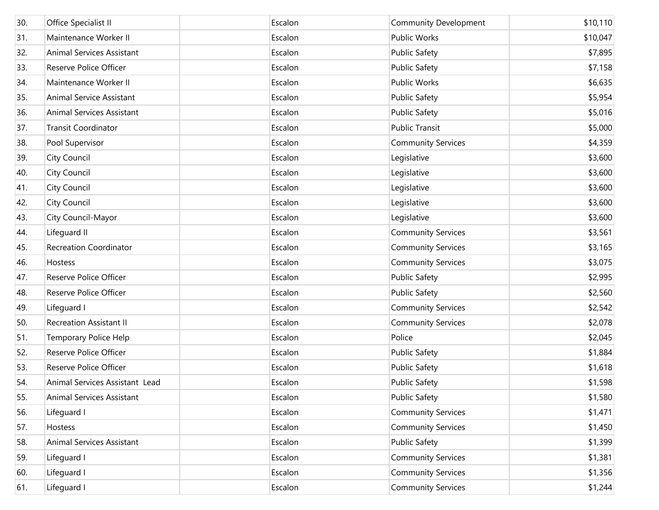| 30. | Office Specialist II           | Escalon | <b>Community Development</b> | \$10,110 |
|-----|--------------------------------|---------|------------------------------|----------|
| 31. | Maintenance Worker II          | Escalon | <b>Public Works</b>          | \$10,047 |
| 32. | Animal Services Assistant      | Escalon | <b>Public Safety</b>         | \$7,895  |
| 33. | Reserve Police Officer         | Escalon | <b>Public Safety</b>         | \$7,158  |
| 34. | Maintenance Worker II          | Escalon | Public Works                 | \$6,635  |
| 35. | Animal Service Assistant       | Escalon | <b>Public Safety</b>         | \$5,954  |
| 36. | Animal Services Assistant      | Escalon | <b>Public Safety</b>         | \$5,016  |
| 37. | <b>Transit Coordinator</b>     | Escalon | <b>Public Transit</b>        | \$5,000  |
| 38. | Pool Supervisor                | Escalon | <b>Community Services</b>    | \$4,359  |
| 39. | <b>City Council</b>            | Escalon | Legislative                  | \$3,600  |
| 40. | <b>City Council</b>            | Escalon | Legislative                  | \$3,600  |
| 41. | <b>City Council</b>            | Escalon | Legislative                  | \$3,600  |
| 42. | <b>City Council</b>            | Escalon | Legislative                  | \$3,600  |
| 43. | City Council-Mayor             | Escalon | Legislative                  | \$3,600  |
| 44. | Lifeguard II                   | Escalon | <b>Community Services</b>    | \$3,561  |
| 45. | <b>Recreation Coordinator</b>  | Escalon | <b>Community Services</b>    | \$3,165  |
| 46. | Hostess                        | Escalon | <b>Community Services</b>    | \$3,075  |
| 47. | Reserve Police Officer         | Escalon | <b>Public Safety</b>         | \$2,995  |
| 48. | Reserve Police Officer         | Escalon | <b>Public Safety</b>         | \$2,560  |
| 49. | Lifeguard I                    | Escalon | <b>Community Services</b>    | \$2,542  |
| 50. | <b>Recreation Assistant II</b> | Escalon | <b>Community Services</b>    | \$2,078  |
| 51. | Temporary Police Help          | Escalon | Police                       | \$2,045  |
| 52. | Reserve Police Officer         | Escalon | <b>Public Safety</b>         | \$1,884  |
| 53. | Reserve Police Officer         | Escalon | <b>Public Safety</b>         | \$1,618  |
| 54. | Animal Services Assistant Lead | Escalon | <b>Public Safety</b>         | \$1,598  |
| 55. | Animal Services Assistant      | Escalon | <b>Public Safety</b>         | \$1,580  |
| 56. | Lifeguard I                    | Escalon | <b>Community Services</b>    | \$1,471  |
| 57. | Hostess                        | Escalon | <b>Community Services</b>    | \$1,450  |
| 58. | Animal Services Assistant      | Escalon | <b>Public Safety</b>         | \$1,399  |
| 59. | Lifeguard I                    | Escalon | <b>Community Services</b>    | \$1,381  |
| 60. | Lifeguard I                    | Escalon | <b>Community Services</b>    | \$1,356  |
| 61. | Lifeguard I                    | Escalon | <b>Community Services</b>    | \$1,244  |